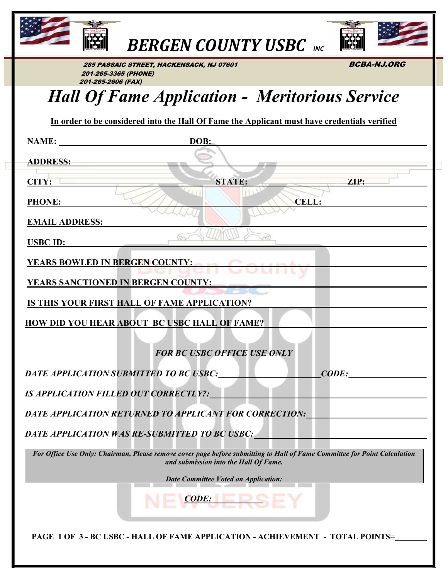

**BERGEN COUNTY USBC** INC



285 PASSAIC STREET, HACKENSACK, NJ 07601 **BCBA-NJ.ORG**  201-265-3365 (PHONE) 201-265-2606 (FAX)

## Hall Of Fame Application - Meritorious Service

| In order to be considered into the Hall Of Fame the Applicant must have credentials verified |  |
|----------------------------------------------------------------------------------------------|--|
|                                                                                              |  |

|                       | NAME: DOB:                                                                                                                                                                                                                     |       |
|-----------------------|--------------------------------------------------------------------------------------------------------------------------------------------------------------------------------------------------------------------------------|-------|
| ADDRESS:              |                                                                                                                                                                                                                                |       |
|                       |                                                                                                                                                                                                                                |       |
| CITY:                 | STATE:                                                                                                                                                                                                                         | ZIP:  |
| <b>PHONE:</b>         |                                                                                                                                                                                                                                | CELL: |
| <b>EMAIL ADDRESS:</b> |                                                                                                                                                                                                                                |       |
|                       | For-                                                                                                                                                                                                                           |       |
| <b>USBC ID:</b>       |                                                                                                                                                                                                                                |       |
|                       | YEARS BOWLED IN BERGEN COUNTY:                                                                                                                                                                                                 |       |
|                       | <u>YEARS SANCTIONED IN BERGEN COUNTY:</u>                                                                                                                                                                                      |       |
|                       | IS THIS YOUR FIRST HALL OF FAME APPLICATION?                                                                                                                                                                                   |       |
|                       |                                                                                                                                                                                                                                |       |
|                       | <b>HOW DID YOU HEAR ABOUT BC USBC HALL OF FAME?</b>                                                                                                                                                                            |       |
|                       |                                                                                                                                                                                                                                |       |
|                       | <b>FOR BC USBC OFFICE USE ONLY</b>                                                                                                                                                                                             |       |
|                       | DATE APPLICATION SUBMITTED TO BC USBC: CODE: CODE:                                                                                                                                                                             |       |
|                       | IS APPLICATION FILLED OUT CORRECTLY?:                                                                                                                                                                                          |       |
|                       | DATE APPLICATION RETURNED TO APPLICANT FOR CORRECTION:                                                                                                                                                                         |       |
|                       | DATE APPLICATION WAS RE-SUBMITTED TO BC USBC: North Contract of the Contract of the Contract of the Contract of the Contract of the Contract of the Contract of the Contract of the Contract of the Contract of the Contract o |       |
|                       | For Office Use Only: Chairman, Please remove cover page before submitting to Hall of Fame Committee for Point Calculation<br><b>Example 2018</b> and submission into the Hall Of Fame.                                         |       |
|                       | <b>Date Committee Voted on Application:</b>                                                                                                                                                                                    |       |
|                       | <b>CODE:</b>                                                                                                                                                                                                                   |       |
|                       | PAGE 1 OF 3-BC USBC-HALL OF FAME APPLICATION-ACHIEVEMENT - TOTAL POINTS=                                                                                                                                                       |       |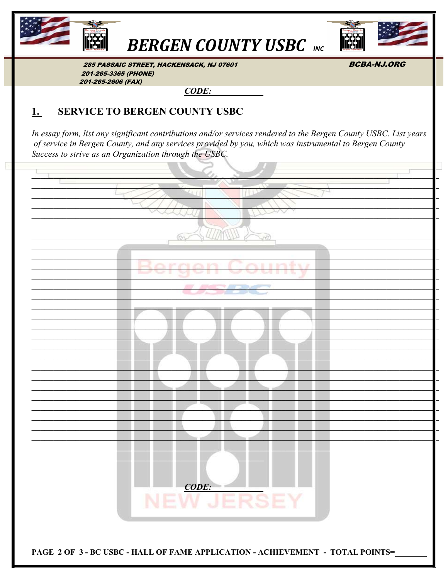

## **BERGEN COUNTY USBC INC**



**BCBA-NJ.ORG** 

285 PASSAIC STREET, HACKENSACK, NJ 07601 201-265-3365 (PHONE) 201-265-2606 (FAX)

 $CODE:$ 

## <u>1.</u> **SERVICE TO BERGEN COUNTY USBC**

In essay form, list any significant contributions and/or services rendered to the Bergen County USBC. List years of service in Bergen County, and any services provided by you, which was instrumental to Bergen County Success to strive as an Organization through the USBC.

| <b>CODE:</b>                                                                   |
|--------------------------------------------------------------------------------|
| <b>NEW JERSEY</b>                                                              |
|                                                                                |
|                                                                                |
| PAGE 2 OF 3 - BC USBC - HALL OF FAME APPLICATION - ACHIEVEMENT - TOTAL POINTS= |